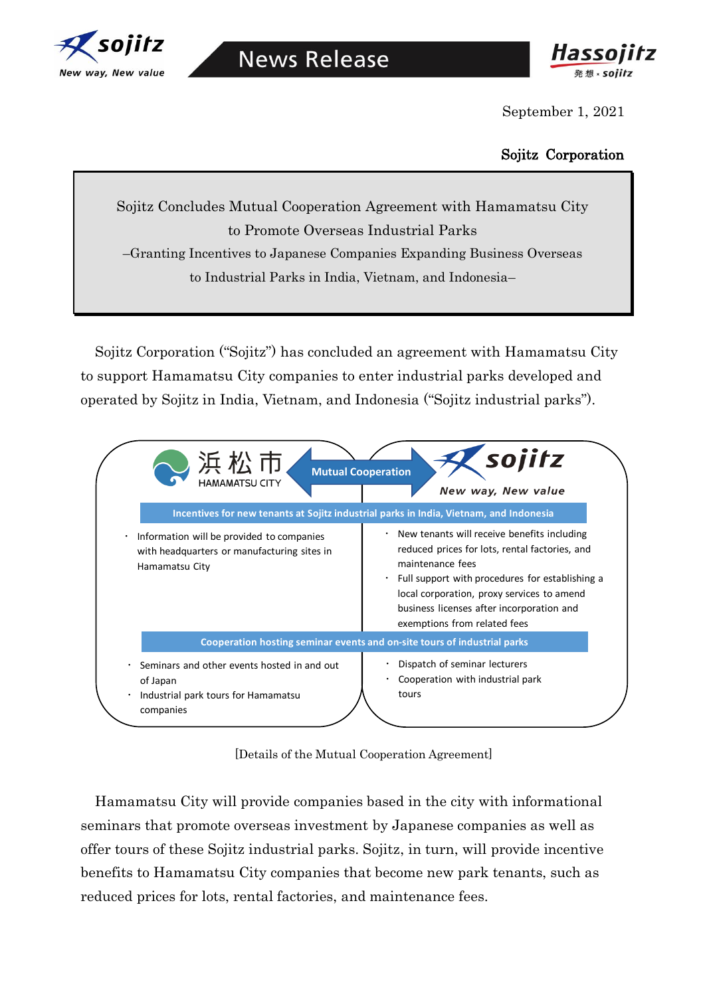



September 1, 2021

## Sojitz Corporation

Sojitz Concludes Mutual Cooperation Agreement with Hamamatsu City to Promote Overseas Industrial Parks –Granting Incentives to Japanese Companies Expanding Business Overseas to Industrial Parks in India, Vietnam, and Indonesia–

Sojitz Corporation ("Sojitz") has concluded an agreement with Hamamatsu City to support Hamamatsu City companies to enter industrial parks developed and operated by Sojitz in India, Vietnam, and Indonesia ("Sojitz industrial parks").



[Details of the Mutual Cooperation Agreement]

Hamamatsu City will provide companies based in the city with informational seminars that promote overseas investment by Japanese companies as well as offer tours of these Sojitz industrial parks. Sojitz, in turn, will provide incentive benefits to Hamamatsu City companies that become new park tenants, such as reduced prices for lots, rental factories, and maintenance fees.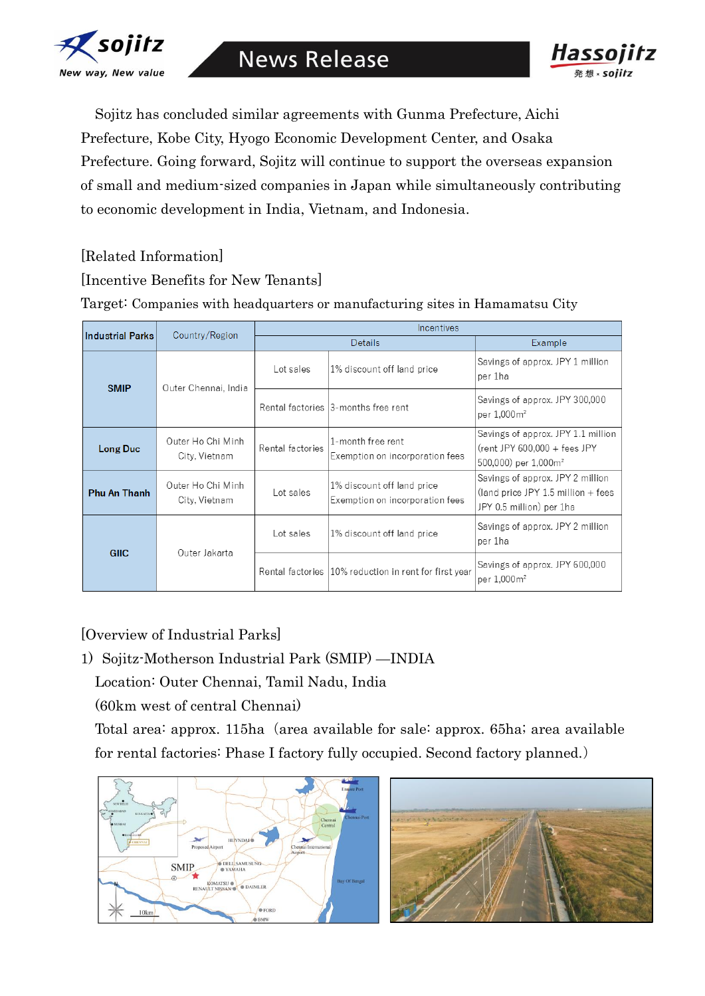

**News Release** 



Sojitz has concluded similar agreements with Gunma Prefecture, Aichi Prefecture, Kobe City, Hyogo Economic Development Center, and Osaka Prefecture. Going forward, Sojitz will continue to support the overseas expansion of small and medium-sized companies in Japan while simultaneously contributing to economic development in India, Vietnam, and Indonesia.

- [Related Information]
- [Incentive Benefits for New Tenants]

Target: Companies with headquarters or manufacturing sites in Hamamatsu City

| <b>Industrial Parks</b> | Country/Region                     | <b>Incentives</b> |                                                               |                                                                                                          |
|-------------------------|------------------------------------|-------------------|---------------------------------------------------------------|----------------------------------------------------------------------------------------------------------|
|                         |                                    | <b>Details</b>    |                                                               | Example                                                                                                  |
| <b>SMIP</b>             | Outer Chennai, India               | Lot sales         | 1% discount off land price                                    | Savings of approx. JPY 1 million<br>per 1ha                                                              |
|                         |                                    |                   | Rental factories 3-months free rent                           | Savings of approx. JPY 300,000<br>per 1,000m <sup>2</sup>                                                |
| Long Duc                | Outer Ho Chi Minh<br>City, Vietnam | Rental factories  | 1-month free rent<br>Exemption on incorporation fees          | Savings of approx. JPY 1.1 million<br>$(rent$ JPY 600,000 + fees JPY<br>500,000) per 1,000m <sup>2</sup> |
| <b>Phu An Thanh</b>     | Outer Ho Chi Minh<br>City, Vietnam | Lot sales         | 1% discount off land price<br>Exemption on incorporation fees | Savings of approx. JPY 2 million<br>(land price JPY 1.5 million $+$ fees<br>JPY 0.5 million) per 1ha     |
| <b>GIIC</b>             | Outer Jakarta                      | Lot sales         | 1% discount off land price                                    | Savings of approx. JPY 2 million<br>per 1ha                                                              |
|                         |                                    |                   | Rental factories 10% reduction in rent for first year         | Savings of approx. JPY 600,000<br>per 1,000m <sup>2</sup>                                                |

[Overview of Industrial Parks]

1) Sojitz-Motherson Industrial Park (SMIP) —INDIA

Location: Outer Chennai, Tamil Nadu, India

(60km west of central Chennai)

Total area: approx. 115ha (area available for sale: approx. 65ha; area available for rental factories: Phase I factory fully occupied. Second factory planned.)



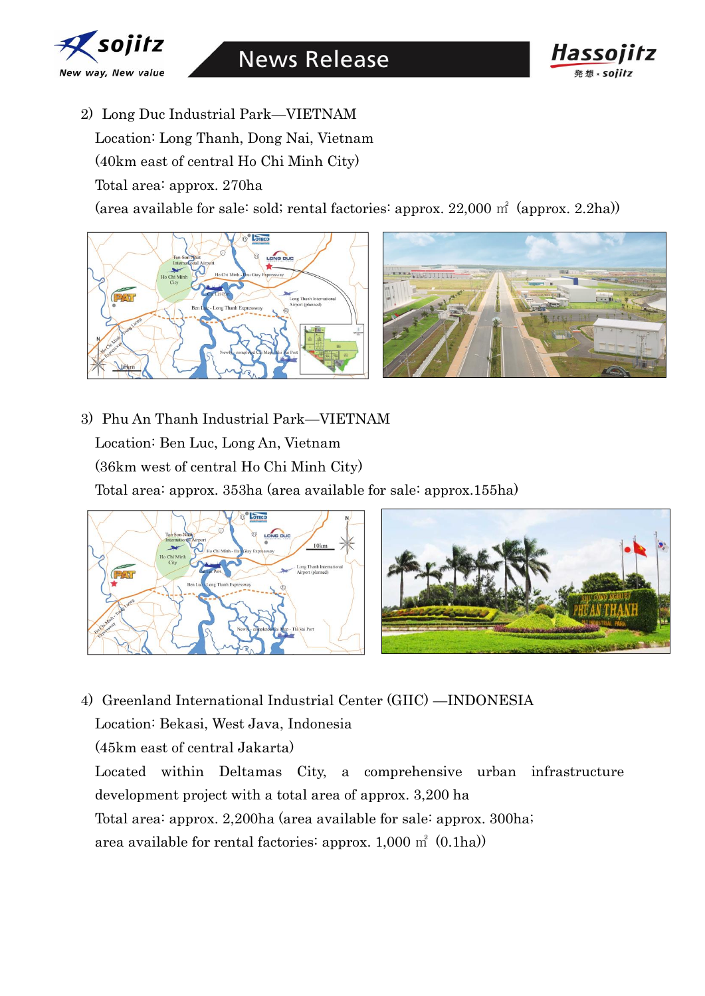

**News Release** 



- 2) Long Duc Industrial Park—VIETNAM
	- Location: Long Thanh, Dong Nai, Vietnam
	- (40km east of central Ho Chi Minh City)
	- Total area: approx. 270ha

(area available for sale: sold; rental factories: approx. 22,000 ㎡ (approx. 2.2ha))



3) Phu An Thanh Industrial Park—VIETNAM Location: Ben Luc, Long An, Vietnam (36km west of central Ho Chi Minh City) Total area: approx. 353ha (area available for sale: approx.155ha)





- 4) Greenland International Industrial Center (GIIC) —INDONESIA
	- Location: Bekasi, West Java, Indonesia
	- (45km east of central Jakarta)

Located within Deltamas City, a comprehensive urban infrastructure development project with a total area of approx. 3,200 ha

Total area: approx. 2,200ha (area available for sale: approx. 300ha;

area available for rental factories: approx.  $1,000 \text{ m}^2 (0.1 \text{ha})$